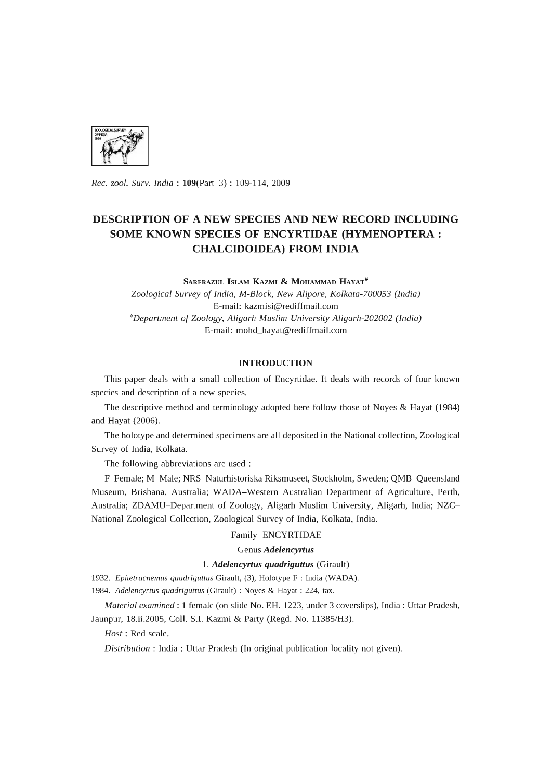

*Rec. zool. Surv. India:* 109(Part-3) : 109-114, 2009

# **DESCRIPTION OF A NEW SPECIES AND NEW RECORD INCLUDING SOME KNOWN SPECIES OF ENCYRTIDAE (HYMENOPTERA: CHALCIDOIDEA) FROM INDIA**

SARFRAZUL ISLAM KAZMI & MOHAMMAD HAYAT<sup>#</sup> *Zoological Survey* of *India, M-Block, New Alipore, Kolkata-700053 (India)*  E-mail: kazmisi@rediffmail.com *#Department* of *Zoology, Aligarh Muslim University Aligarh-202002 (India)*  E-mail: mohd\_hayat@rediffmail.com

## **INTRODUCTION**

This paper deals with a small collection of Encyrtidae. It deals with records of four known species and description of a new species.

The descriptive method and terminology adopted here follow those of Noyes & Hayat (1984) and Hayat (2006).

The holotype and determined specimens are all deposited in the National collection, Zoological Survey of India, Kolkata.

The following abbreviations are used:

F-Female; M-Male; NRS-Naturhistoriska Riksmuseet, Stockholm, Sweden; QMB-Queensland Museum, Brisbana, Australia; WADA-Western Australian Department of Agriculture, Perth, Australia; ZDAMU-Department of Zoology, Aligarh Muslim University, Aligarh, India; NZC-National Zoological Collection, Zoological Survey of India, Kolkata, India.

# Family ENCYRTIDAE

# Genus *Adelencyrtus*

# 1. *Adelencyrtus quadriguttus* (Girault)

*1932. Epitetracnemus quadriguttus* Girault, (3), Holotype F : India (WADA).

*1984. Adelencyrtus quadriguttus* (Girault) : Noyes & Hayat : 224, tax.

*Material examined:* 1 female (on slide No. EH. 1223, under 3 coverslips), India: Uttar Pradesh, Jaunpur, 18.ii.2005, ColI. S.l. Kazmi & Party (Regd. No. 11385/H3).

*Host:* Red scale.

*Distribution:* India: Uttar Pradesh (In original publication locality not given).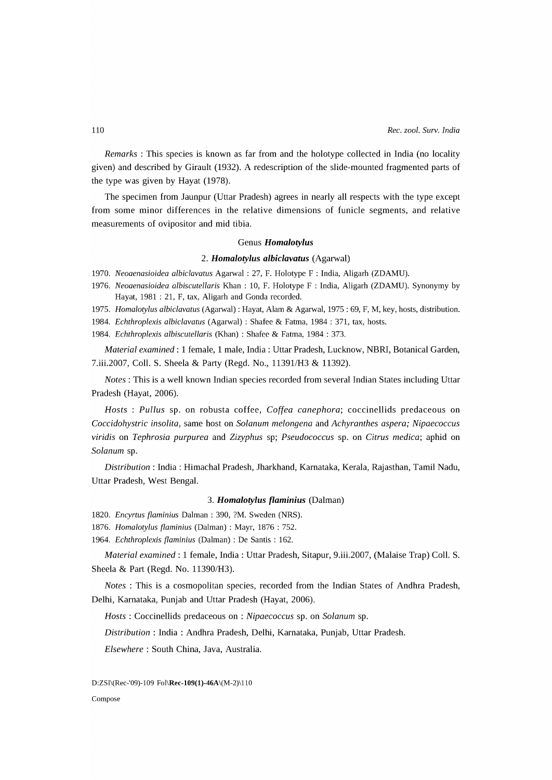*Remarks:* This species is known as far from and the holotype collected in India (no locality given) and described by Girault (1932). A redescription of the slide-mounted fragmented parts of the type was given by Hayat (1978).

The specimen from Jaunpur (Uttar Pradesh) agrees in nearly all respects with the type except from some minor differences in the relative dimensions of funicle segments, and relative measurements of ovipositor and mid tibia.

### Genus *Homalotylus*

### *2. Homalotylus albiclavatus* (Agarwal)

- *1970. Neoaenasioidea albiclavatus* Agarwal: 27, F. Holotype F : India, Aligarh (ZDAMU).
- *1976. Neoaenasioidea albiscutellaris* Khan: 10, F. Holotype F : India, Aligarh (ZDAMU). Synonymy by Hayat, 1981 : 21, F, tax, Aligarh and Gonda recorded.
- *1975. Homalotylus albiclavatus* (Agarwal) : Hayat, Alam & Agarwal, 1975 : 69, F, M, key, hosts, distribution.
- *1984. Echthroplexis albiclavatus* (Agarwal) : Shafee & Fatma, 1984 : 371, tax, hosts.
- *1984. Echthroplexis albiscutellaris* (Khan) : Shafee & Fatma, 1984 : 373.

*Material examined:* 1 female, 1 male, India: Uttar Pradesh, Lucknow, NBRI, Botanical Garden, 7.iii.2007, Coll. S. Sheela & Party (Regd. No., 11391/H3 & 11392).

*Notes:* This is a well known Indian species recorded from several Indian States including Uttar Pradesh (Hayat, 2006).

*Hosts* : *Pullus* sp. on robusta coffee, *Coffea canephora;* coccinellids predaceous on *Coccidohystric insolita,* same host on *Solanum melongena* and *Achyranthes aspera; Nipaecoccus viridis* on *Tephrosia purpurea* and *Zizyphus* sp; *Pseudococcus* sp. on *Citrus medica;* aphid on *Solanum* sp.

*Distribution:* India: Himachal Pradesh, Jharkhand, Karnataka, Kerala, Rajasthan, Tamil Nadu, Uttar Pradesh, West Bengal.

# *3. Homalotylus flaminius* (Dalman)

*1820. Encyrtus flaminius* Dalman: 390, ?M. Sweden (NRS).

*1876. Homalotylus flaminius* (Dalman) : Mayr, 1876 : 752.

*1964. Echthroplexis flaminius* (Dalman) : De Santis : 162.

*Material examined:* 1 female, India: Uttar Pradesh, Sitapur, 9.iii.2007, (Malaise Trap) ColI. S. Sheela & Part (Regd. No. *11390/H3).* 

*Notes* : This is a cosmopolitan species, recorded from the Indian States of Andhra Pradesh, Delhi, Karnataka, Punjab and Uttar Pradesh (Hayat, 2006).

*Hosts:* Coccinellids predaceous on : *Nipaecoccus* sp. on *Solanum* sp.

*Distribution:* India: Andhra Pradesh, Delhi, Karnataka, Punjab, Uttar Pradesh.

*Elsewhere:* South China, Java, Australia.

Compose

D:ZSI\(Rec-'09)-109 Fol\Rec-109(1)-46A\(M-2)\110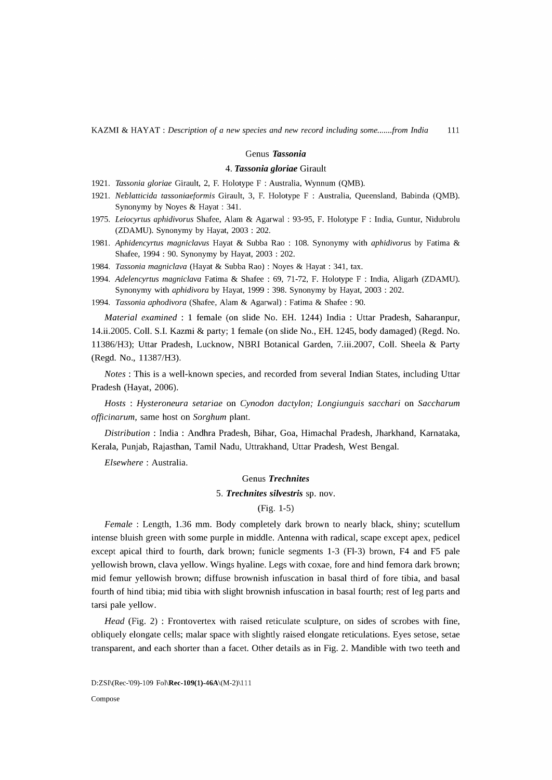### Genus *Tassonia*

## *4. Tassonia gioriae* Girault

- 1921. *Tassonia gloriae* Girault, 2, F. Holotype F : Australia, Wynnum (QMB).
- 1921. *Neblatticida tassoniaeformis* Girault, 3, F. Holotype F : Australia, Queensland, Babinda (QMB). Synonymy by Noyes & Hayat : 341.
- *1975. Leiocyrtus aphidivorus* Shafee, Alam & Agarwal: 93-95, F. Holotype F : India, Guntur, Nidubrolu (ZDAMU). Synonymy by Hayat, 2003 : 202.
- 1981. *Aphidencyrtus magniclavus* Hayat & Subba Rao : 108. Synonymy with *aphidivorus* by Fatima & Shafee, 1994 : 90. Synonymy by Hayat, 2003 : 202.
- *1984. Tassonia magniclava* (Hayat & Subba Rao) : Noyes & Hayat : 341, tax.
- *1994. Adelencyrtus magniclava* Fatima & Shafee : 69, 71-72, F. Holotype F : India, Aligarh (ZDAMU). Synonymy with *aphidivora* by Hayat, 1999 : 398. Synonymy by Hayat, 2003 : 202.
- *1994. Tassonia aphodivora* (Shafee, Alam & Agarwal) : Fatima & Shafee : 90.

*Material examined:* 1 female (on slide No. EH. 1244) India: Uttar Pradesh, Saharanpur, 14.ii.2005. ColI. S.l. Kazmi & party; 1 female (on slide No., EH. 1245, body damaged) (Regd. No. 11386/H3); Uttar Pradesh, Lucknow, NBRI Botanical Garden, 7.iii.2007, ColI. Sheela & Party (Regd. No., 11387/H3).

*Notes:* This is a well-known species, and recorded from several Indian States, including Uttar Pradesh (Hayat, 2006).

*Hosts* : *Hysteroneura setariae* on *Cynodon dactylon; Longiunguis sacchari* on *Saccharum officinarum,* same host on *Sorghum* plant.

*Distribution:* India: Andhra Pradesh, Bihar, Goa, Himachal Pradesh, lharkhand, Karnataka, Kerala, Punjab, Rajasthan, Tamil Nadu, Uttrakhand, Uttar Pradesh, West Bengal.

*Elsewhere:* Australia.

## Genus *Trechnites*

### *5. Trechnites silvestris* sp. nov.

(Fig. 1-5)

*Female: Length, 1.36 mm. Body completely dark brown to nearly black, shiny; scutellum* intense bluish green with some purple in middle. Antenna with radical, scape except apex, pedicel except apical third to fourth, dark brown; funicle segments 1-3 (FI-3) brown, F4 and F5 pale yellowish brown, clava yellow. Wings hyaline. Legs with coxae, fore and hind femora dark brown; mid femur yellowish brown; diffuse brownish infuscation in basal third of fore tibia, and basal fourth of hind tibia; mid tibia with slight brownish infuscation in basal fourth; rest of leg parts and tarsi pale yellow.

*Head* (Fig. 2) : Frontovertex with raised reticulate sculpture, on sides of scrobes with fine, obliquely elongate cells; malar space with slightly raised elongate reticulations. Eyes setose, setae transparent, and each shorter than a facet. Other details as in Fig. 2. Mandible with two teeth and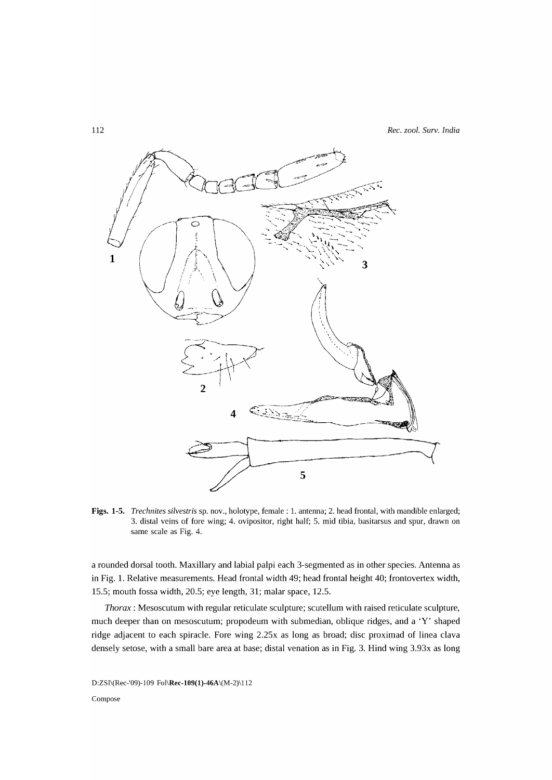

Figs. 1-5. *Trechnites silvestris* sp. nov., holotype, female: 1. antenna; 2. head frontal, with mandible enlarged; 3. distal veins of fore wing; 4. ovipositor, right half; 5. mid tibia, basitarsus and spur, drawn on same scale as Fig. 4.

a rounded dorsal tooth. Maxillary and labial palpi each 3-segmented as in other species. Antenna as in Fig. 1. Relative measurements. Head frontal width 49; head frontal height 40; frontovertex width, 15.5; mouth fossa width, 20.5; eye length, 31; malar space, 12.5.

*Thorax:* Mesoscutum with regular reticulate sculpture; scutellum with raised reticulate sculpture, much deeper than on mesoscutum; propodeum with submedian, oblique ridges, and a 'V' shaped ridge adjacent to each spiracle. Fore wing 2.25x as long as broad; disc proximad of linea clava densely setose, with a small bare area at base; distal venation as in Fig. 3. Hind wing 3.93x as long

D:ZSI\(Rec-'09)-109 Fol\Rec-109(1)-46A\(M-2)\112 Compose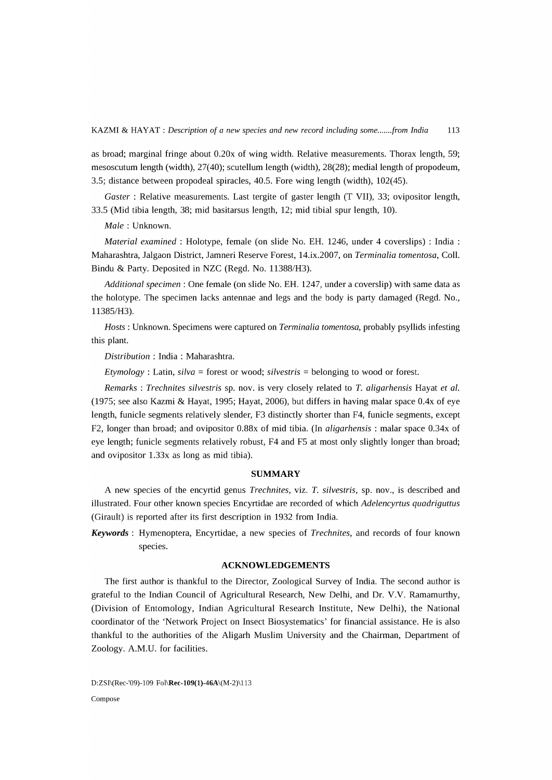as broad; marginal fringe about 0.20x of wing width. Relative measurements. Thorax length, 59; mesoscutum length (width), 27(40); scutellum length (width), 28(28); medial length of propodeum, 3.5; distance between propodeal spiracles, 40.5. Fore wing length (width), 102(45).

*Gaster* : Relative measurements. Last tergite of gaster length (T VII), 33; ovipositor length, 33.5 (Mid tibia length, 38; mid basitarsus length, 12; mid tibial spur length, 10).

*Male:* Unknown.

*Material examined:* Holotype, female (on slide No. EH. 1246, under 4 coverslips) : India: Maharashtra, Jalgaon District, Jamneri Reserve Forest, 14.ix.2007, on *Terminalia tomentosa,* ColI. Bindu & Party. Deposited in NZC (Regd. No. 11388/H3).

*Additional specimen:* One female (on slide No. EH. 1247, under a coverslip) with same data as the holotype. The specimen lacks antennae and legs and the body is party damaged (Regd. No., 11385/H3).

*Hosts:* Unknown. Specimens were captured on *Terminalia tomentosa,* probably psyllids infesting this plant.

*Distribution* : India : Maharashtra.

*Etymology* : Latin, *silva* = forest or wood; *silvestris* = belonging to wood or forest.

*Remarks* : *Trechnites silvestris* sp. nov. is very closely related to *T. aligarhensis* Hayat *et al.*  (1975; see also Kazmi & Hayat, 1995; Hayat, 2006), but differs in having malar space *OAx* of eye length, funicle segments relatively slender, F3 distinctly shorter than F4, funicle segments, except F2, longer than broad; and ovipositor 0.88x of mid tibia. (In *aligarhensis* : malar space 0.34x of eye length; funicle segments relatively robust, F4 and F5 at most only slightly longer than broad; and ovipositor 1.33x as long as mid tibia).

### **SUMMARY**

A new species of the encyrtid genus *Trechnites,* viz. *T. silvestris,* sp. nov., is described and illustrated. Four other known species Encyrtidae are recorded of which *Adelencyrtus quadriguttus*  (Girault) is reported after its first description in 1932 from India.

*Keywords:* Hymenoptera, Encyrtidae, a new species of *Trechnites,* and records of four known species.

# ACKNOWLEDGEMENTS

The first author is thankful to the Director, Zoological Survey of India. The second author is grateful to the Indian Council of Agricultural Research, New Delhi, and Dr. V.V. Ramamurthy, (Division of Entomology, Indian Agricultural Research Institute, New Delhi), the National coordinator of the 'Network Project on Insect Biosystematics' for financial assistance. He is also thankful to the authorities of the Aligarh Muslim University and the Chairman, Department of Zoology. A.M.U. for facilities.

D:ZSI\(Rec-'09)-109 Fol\Rec-109(1)-46A\(M-2)\113 Compose